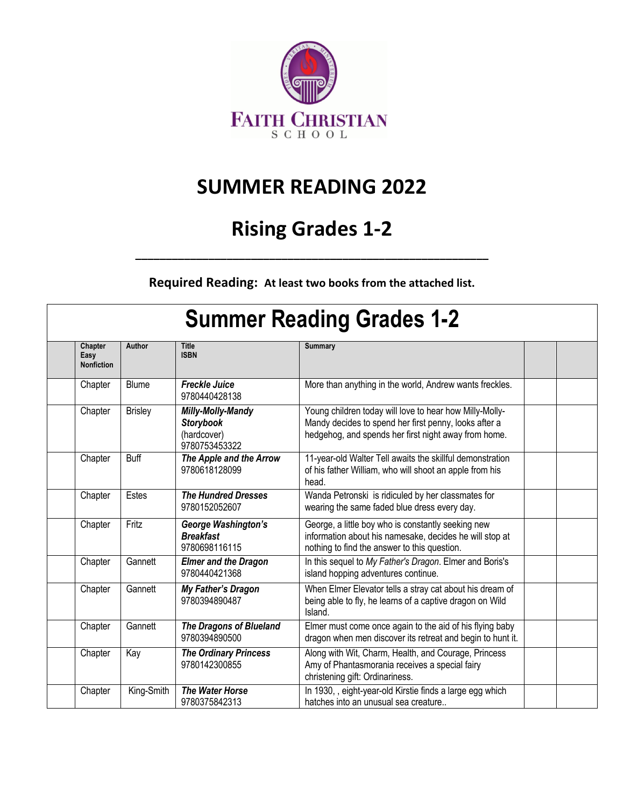

## **SUMMER READING 2022**

## **Rising Grades 1-2**

**Required Reading: At least two books from the attached list.**

**\_\_\_\_\_\_\_\_\_\_\_\_\_\_\_\_\_\_\_\_\_\_\_\_\_\_\_\_\_\_\_\_\_\_\_\_\_\_\_\_\_\_\_\_\_\_\_\_\_\_\_\_\_\_\_\_\_\_**

## **Summer Reading Grades 1-2**

| Chapter<br>Easy<br><b>Nonfiction</b> | Author         | <b>Title</b><br><b>ISBN</b>                                           | <b>Summary</b>                                                                                                                                                           |  |
|--------------------------------------|----------------|-----------------------------------------------------------------------|--------------------------------------------------------------------------------------------------------------------------------------------------------------------------|--|
| Chapter                              | <b>Blume</b>   | <b>Freckle Juice</b><br>9780440428138                                 | More than anything in the world, Andrew wants freckles.                                                                                                                  |  |
| Chapter                              | <b>Brisley</b> | Milly-Molly-Mandy<br><b>Storybook</b><br>(hardcover)<br>9780753453322 | Young children today will love to hear how Milly-Molly-<br>Mandy decides to spend her first penny, looks after a<br>hedgehog, and spends her first night away from home. |  |
| Chapter                              | <b>Buff</b>    | The Apple and the Arrow<br>9780618128099                              | 11-year-old Walter Tell awaits the skillful demonstration<br>of his father William, who will shoot an apple from his<br>head.                                            |  |
| Chapter                              | Estes          | <b>The Hundred Dresses</b><br>9780152052607                           | Wanda Petronski is ridiculed by her classmates for<br>wearing the same faded blue dress every day.                                                                       |  |
| Chapter                              | Fritz          | George Washington's<br><b>Breakfast</b><br>9780698116115              | George, a little boy who is constantly seeking new<br>information about his namesake, decides he will stop at<br>nothing to find the answer to this question.            |  |
| Chapter                              | Gannett        | <b>Elmer and the Dragon</b><br>9780440421368                          | In this sequel to My Father's Dragon. Elmer and Boris's<br>island hopping adventures continue.                                                                           |  |
| Chapter                              | Gannett        | My Father's Dragon<br>9780394890487                                   | When Elmer Elevator tells a stray cat about his dream of<br>being able to fly, he learns of a captive dragon on Wild<br>Island.                                          |  |
| Chapter                              | Gannett        | <b>The Dragons of Blueland</b><br>9780394890500                       | Elmer must come once again to the aid of his flying baby<br>dragon when men discover its retreat and begin to hunt it.                                                   |  |
| Chapter                              | Kay            | <b>The Ordinary Princess</b><br>9780142300855                         | Along with Wit, Charm, Health, and Courage, Princess<br>Amy of Phantasmorania receives a special fairy<br>christening gift: Ordinariness.                                |  |
| Chapter                              | King-Smith     | <b>The Water Horse</b><br>9780375842313                               | In 1930, , eight-year-old Kirstie finds a large egg which<br>hatches into an unusual sea creature                                                                        |  |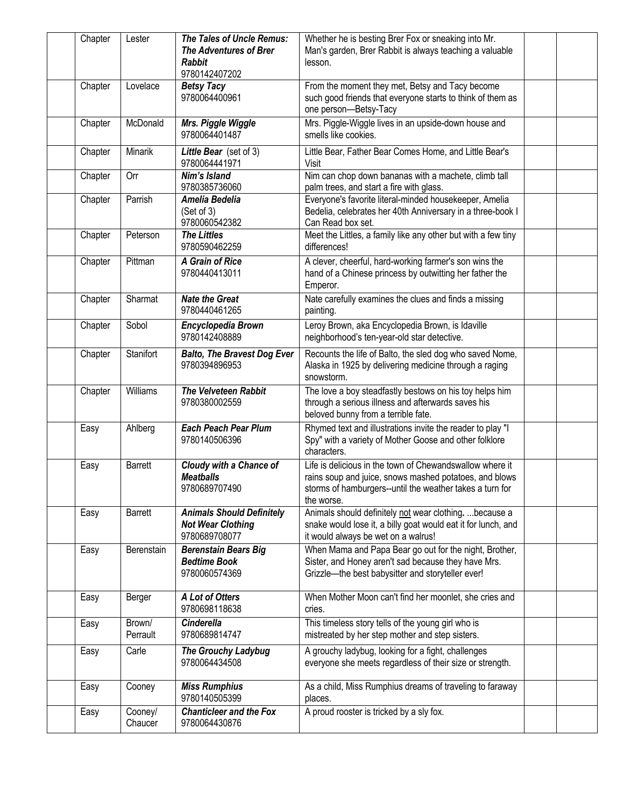| Chapter | Lester             | <b>The Tales of Uncle Remus:</b><br><b>The Adventures of Brer</b><br><b>Rabbit</b><br>9780142407202 | Whether he is besting Brer Fox or sneaking into Mr.<br>Man's garden, Brer Rabbit is always teaching a valuable<br>lesson.                                                                    |  |
|---------|--------------------|-----------------------------------------------------------------------------------------------------|----------------------------------------------------------------------------------------------------------------------------------------------------------------------------------------------|--|
| Chapter | Lovelace           | <b>Betsy Tacy</b><br>9780064400961                                                                  | From the moment they met, Betsy and Tacy become<br>such good friends that everyone starts to think of them as<br>one person-Betsy-Tacy                                                       |  |
| Chapter | McDonald           | Mrs. Piggle Wiggle<br>9780064401487                                                                 | Mrs. Piggle-Wiggle lives in an upside-down house and<br>smells like cookies.                                                                                                                 |  |
| Chapter | Minarik            | Little Bear (set of 3)<br>9780064441971                                                             | Little Bear, Father Bear Comes Home, and Little Bear's<br>Visit                                                                                                                              |  |
| Chapter | Orr                | Nim's Island<br>9780385736060                                                                       | Nim can chop down bananas with a machete, climb tall<br>palm trees, and start a fire with glass.                                                                                             |  |
| Chapter | Parrish            | Amelia Bedelia<br>(Set of 3)<br>9780060542382                                                       | Everyone's favorite literal-minded housekeeper, Amelia<br>Bedelia, celebrates her 40th Anniversary in a three-book I<br>Can Read box set.                                                    |  |
| Chapter | Peterson           | <b>The Littles</b><br>9780590462259                                                                 | Meet the Littles, a family like any other but with a few tiny<br>differences!                                                                                                                |  |
| Chapter | Pittman            | A Grain of Rice<br>9780440413011                                                                    | A clever, cheerful, hard-working farmer's son wins the<br>hand of a Chinese princess by outwitting her father the<br>Emperor.                                                                |  |
| Chapter | Sharmat            | <b>Nate the Great</b><br>9780440461265                                                              | Nate carefully examines the clues and finds a missing<br>painting.                                                                                                                           |  |
| Chapter | Sobol              | Encyclopedia Brown<br>9780142408889                                                                 | Leroy Brown, aka Encyclopedia Brown, is Idaville<br>neighborhood's ten-year-old star detective.                                                                                              |  |
| Chapter | Stanifort          | <b>Balto, The Bravest Dog Ever</b><br>9780394896953                                                 | Recounts the life of Balto, the sled dog who saved Nome,<br>Alaska in 1925 by delivering medicine through a raging<br>snowstorm.                                                             |  |
| Chapter | Williams           | <b>The Velveteen Rabbit</b><br>9780380002559                                                        | The love a boy steadfastly bestows on his toy helps him<br>through a serious illness and afterwards saves his<br>beloved bunny from a terrible fate.                                         |  |
| Easy    | Ahlberg            | <b>Each Peach Pear Plum</b><br>9780140506396                                                        | Rhymed text and illustrations invite the reader to play "I<br>Spy" with a variety of Mother Goose and other folklore<br>characters.                                                          |  |
| Easy    | <b>Barrett</b>     | Cloudy with a Chance of<br><b>Meatballs</b><br>9780689707490                                        | Life is delicious in the town of Chewandswallow where it<br>rains soup and juice, snows mashed potatoes, and blows<br>storms of hamburgers--until the weather takes a turn for<br>the worse. |  |
| Easy    | <b>Barrett</b>     | <b>Animals Should Definitely</b><br><b>Not Wear Clothing</b><br>9780689708077                       | Animals should definitely not wear clothing.  because a<br>snake would lose it, a billy goat would eat it for lunch, and<br>it would always be wet on a walrus!                              |  |
| Easy    | Berenstain         | <b>Berenstain Bears Big</b><br><b>Bedtime Book</b><br>9780060574369                                 | When Mama and Papa Bear go out for the night, Brother,<br>Sister, and Honey aren't sad because they have Mrs.<br>Grizzle-the best babysitter and storyteller ever!                           |  |
| Easy    | Berger             | A Lot of Otters<br>9780698118638                                                                    | When Mother Moon can't find her moonlet, she cries and<br>cries.                                                                                                                             |  |
| Easy    | Brown/<br>Perrault | <b>Cinderella</b><br>9780689814747                                                                  | This timeless story tells of the young girl who is<br>mistreated by her step mother and step sisters.                                                                                        |  |
| Easy    | Carle              | <b>The Grouchy Ladybug</b><br>9780064434508                                                         | A grouchy ladybug, looking for a fight, challenges<br>everyone she meets regardless of their size or strength.                                                                               |  |
| Easy    | Cooney             | <b>Miss Rumphius</b><br>9780140505399                                                               | As a child, Miss Rumphius dreams of traveling to faraway<br>places.                                                                                                                          |  |
| Easy    | Cooney/<br>Chaucer | <b>Chanticleer and the Fox</b><br>9780064430876                                                     | A proud rooster is tricked by a sly fox.                                                                                                                                                     |  |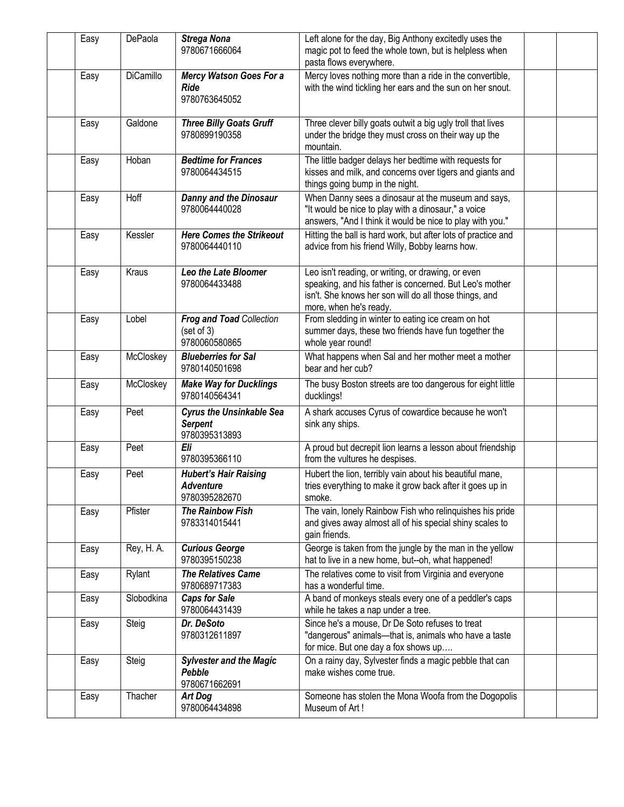| Easy | DePaola    | <b>Strega Nona</b><br>9780671666064                                | Left alone for the day, Big Anthony excitedly uses the<br>magic pot to feed the whole town, but is helpless when<br>pasta flows everywhere.                                                       |  |
|------|------------|--------------------------------------------------------------------|---------------------------------------------------------------------------------------------------------------------------------------------------------------------------------------------------|--|
| Easy | DiCamillo  | <b>Mercy Watson Goes For a</b><br><b>Ride</b><br>9780763645052     | Mercy loves nothing more than a ride in the convertible,<br>with the wind tickling her ears and the sun on her snout.                                                                             |  |
| Easy | Galdone    | <b>Three Billy Goats Gruff</b><br>9780899190358                    | Three clever billy goats outwit a big ugly troll that lives<br>under the bridge they must cross on their way up the<br>mountain.                                                                  |  |
| Easy | Hoban      | <b>Bedtime for Frances</b><br>9780064434515                        | The little badger delays her bedtime with requests for<br>kisses and milk, and concerns over tigers and giants and<br>things going bump in the night.                                             |  |
| Easy | Hoff       | <b>Danny and the Dinosaur</b><br>9780064440028                     | When Danny sees a dinosaur at the museum and says,<br>"It would be nice to play with a dinosaur," a voice<br>answers, "And I think it would be nice to play with you."                            |  |
| Easy | Kessler    | <b>Here Comes the Strikeout</b><br>9780064440110                   | Hitting the ball is hard work, but after lots of practice and<br>advice from his friend Willy, Bobby learns how.                                                                                  |  |
| Easy | Kraus      | Leo the Late Bloomer<br>9780064433488                              | Leo isn't reading, or writing, or drawing, or even<br>speaking, and his father is concerned. But Leo's mother<br>isn't. She knows her son will do all those things, and<br>more, when he's ready. |  |
| Easy | Lobel      | <b>Frog and Toad Collection</b><br>(set of 3)<br>9780060580865     | From sledding in winter to eating ice cream on hot<br>summer days, these two friends have fun together the<br>whole year round!                                                                   |  |
| Easy | McCloskey  | <b>Blueberries for Sal</b><br>9780140501698                        | What happens when Sal and her mother meet a mother<br>bear and her cub?                                                                                                                           |  |
| Easy | McCloskey  | <b>Make Way for Ducklings</b><br>9780140564341                     | The busy Boston streets are too dangerous for eight little<br>ducklings!                                                                                                                          |  |
| Easy | Peet       | <b>Cyrus the Unsinkable Sea</b><br><b>Serpent</b><br>9780395313893 | A shark accuses Cyrus of cowardice because he won't<br>sink any ships.                                                                                                                            |  |
| Easy | Peet       | Eli<br>9780395366110                                               | A proud but decrepit lion learns a lesson about friendship<br>from the vultures he despises.                                                                                                      |  |
| Easy | Peet       | <b>Hubert's Hair Raising</b><br>Adventure<br>9780395282670         | Hubert the lion, terribly vain about his beautiful mane,<br>tries everything to make it grow back after it goes up in<br>smoke.                                                                   |  |
| Easy | Pfister    | <b>The Rainbow Fish</b><br>9783314015441                           | The vain, lonely Rainbow Fish who relinquishes his pride<br>and gives away almost all of his special shiny scales to<br>gain friends.                                                             |  |
| Easy | Rey, H. A. | <b>Curious George</b><br>9780395150238                             | George is taken from the jungle by the man in the yellow<br>hat to live in a new home, but--oh, what happened!                                                                                    |  |
| Easy | Rylant     | <b>The Relatives Came</b><br>9780689717383                         | The relatives come to visit from Virginia and everyone<br>has a wonderful time.                                                                                                                   |  |
| Easy | Slobodkina | <b>Caps for Sale</b><br>9780064431439                              | A band of monkeys steals every one of a peddler's caps<br>while he takes a nap under a tree.                                                                                                      |  |
| Easy | Steig      | Dr. DeSoto<br>9780312611897                                        | Since he's a mouse, Dr De Soto refuses to treat<br>"dangerous" animals-that is, animals who have a taste<br>for mice. But one day a fox shows up                                                  |  |
| Easy | Steig      | <b>Sylvester and the Magic</b><br>Pebble<br>9780671662691          | On a rainy day, Sylvester finds a magic pebble that can<br>make wishes come true.                                                                                                                 |  |
| Easy | Thacher    | <b>Art Dog</b><br>9780064434898                                    | Someone has stolen the Mona Woofa from the Dogopolis<br>Museum of Art!                                                                                                                            |  |